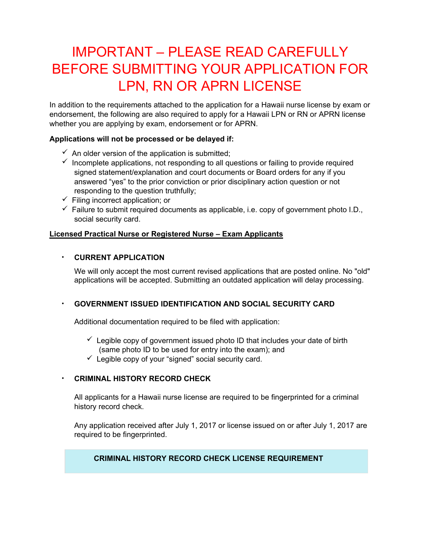# IMPORTANT – PLEASE READ CAREFULLY BEFORE SUBMITTING YOUR APPLICATION FOR LPN, RN OR APRN LICENSE

In addition to the requirements attached to the application for a Hawaii nurse license by exam or endorsement, the following are also required to apply for a Hawaii LPN or RN or APRN license whether you are applying by exam, endorsement or for APRN.

# **Applications will not be processed or be delayed if:**

- $\checkmark$  An older version of the application is submitted;
- $\checkmark$  Incomplete applications, not responding to all questions or failing to provide required signed statement/explanation and court documents or Board orders for any if you answered "yes" to the prior conviction or prior disciplinary action question or not responding to the question truthfully;
- $\checkmark$  Filing incorrect application; or
- $\checkmark$  Failure to submit required documents as applicable, i.e. copy of government photo I.D., social security card.

# **Licensed Practical Nurse or Registered Nurse – Exam Applicants**

# • **CURRENT APPLICATION**

We will only accept the most current revised applications that are posted online. No "old" applications will be accepted. Submitting an outdated application will delay processing.

# • **GOVERNMENT ISSUED IDENTIFICATION AND SOCIAL SECURITY CARD**

Additional documentation required to be filed with application:

- $\checkmark$  Legible copy of government issued photo ID that includes your date of birth (same photo ID to be used for entry into the exam); and
- $\checkmark$  Legible copy of your "signed" social security card.

# • **CRIMINAL HISTORY RECORD CHECK**

All applicants for a Hawaii nurse license are required to be fingerprinted for a criminal history record check.

Any application received after July 1, 2017 or license issued on or after July 1, 2017 are required to be fingerprinted.

# **CRIMINAL HISTORY RECORD CHECK LICENSE REQUIREMENT**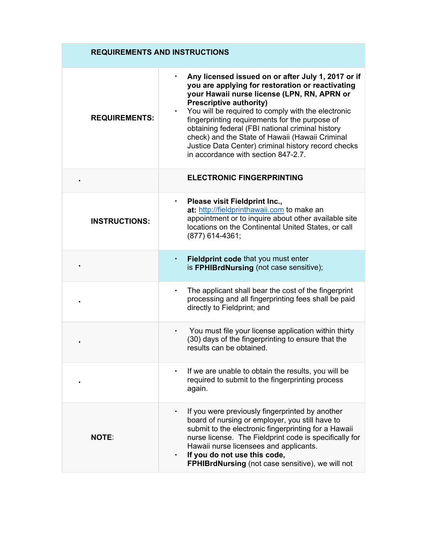| <b>REQUIREMENTS AND INSTRUCTIONS</b> |                                                                                                                                                                                                                                                                                                                                                                                                                                                                                                      |  |  |  |  |
|--------------------------------------|------------------------------------------------------------------------------------------------------------------------------------------------------------------------------------------------------------------------------------------------------------------------------------------------------------------------------------------------------------------------------------------------------------------------------------------------------------------------------------------------------|--|--|--|--|
| <b>REQUIREMENTS:</b>                 | Any licensed issued on or after July 1, 2017 or if<br>you are applying for restoration or reactivating<br>your Hawaii nurse license (LPN, RN, APRN or<br><b>Prescriptive authority)</b><br>You will be required to comply with the electronic<br>fingerprinting requirements for the purpose of<br>obtaining federal (FBI national criminal history<br>check) and the State of Hawaii (Hawaii Criminal<br>Justice Data Center) criminal history record checks<br>in accordance with section 847-2.7. |  |  |  |  |
|                                      | <b>ELECTRONIC FINGERPRINTING</b>                                                                                                                                                                                                                                                                                                                                                                                                                                                                     |  |  |  |  |
| <b>INSTRUCTIONS:</b>                 | Please visit Fieldprint Inc.,<br>$\bullet$<br>at: http://fieldprinthawaii.com to make an<br>appointment or to inquire about other available site<br>locations on the Continental United States, or call<br>(877) 614-4361;                                                                                                                                                                                                                                                                           |  |  |  |  |
|                                      | Fieldprint code that you must enter<br>$\bullet$<br>is FPHIBrdNursing (not case sensitive);                                                                                                                                                                                                                                                                                                                                                                                                          |  |  |  |  |
|                                      | The applicant shall bear the cost of the fingerprint<br>processing and all fingerprinting fees shall be paid<br>directly to Fieldprint; and                                                                                                                                                                                                                                                                                                                                                          |  |  |  |  |
|                                      | You must file your license application within thirty<br>(30) days of the fingerprinting to ensure that the<br>results can be obtained.                                                                                                                                                                                                                                                                                                                                                               |  |  |  |  |
|                                      | If we are unable to obtain the results, you will be<br>required to submit to the fingerprinting process<br>again.                                                                                                                                                                                                                                                                                                                                                                                    |  |  |  |  |
| <b>NOTE:</b>                         | If you were previously fingerprinted by another<br>board of nursing or employer, you still have to<br>submit to the electronic fingerprinting for a Hawaii<br>nurse license. The Fieldprint code is specifically for<br>Hawaii nurse licensees and applicants.<br>If you do not use this code,<br><b>FPHIBrdNursing</b> (not case sensitive), we will not                                                                                                                                            |  |  |  |  |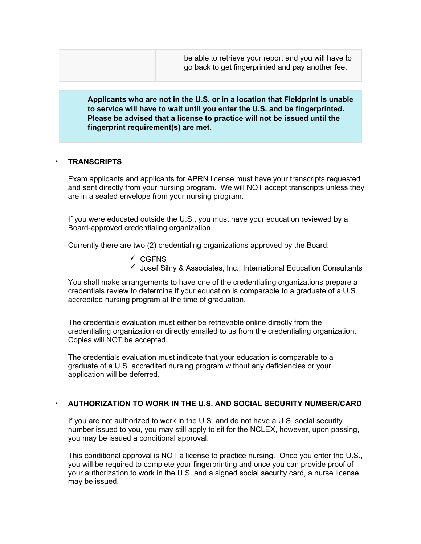be able to retrieve your report and you will have to go back to get fingerprinted and pay another fee.

**Applicants who are not in the U.S. or in a location that Fieldprint is unable to service will have to wait until you enter the U.S. and be fingerprinted. Please be advised that a license to practice will not be issued until the fingerprint requirement(s) are met.**

#### • **TRANSCRIPTS**

Exam applicants and applicants for APRN license must have your transcripts requested and sent directly from your nursing program. We will NOT accept transcripts unless they are in a sealed envelope from your nursing program.

If you were educated outside the U.S., you must have your education reviewed by a Board-approved credentialing organization.

Currently there are two (2) credentialing organizations approved by the Board:

- $\checkmark$  CGFNS
- $\checkmark$  Josef Silny & Associates, Inc., International Education Consultants

You shall make arrangements to have one of the credentialing organizations prepare a credentials review to determine if your education is comparable to a graduate of a U.S. accredited nursing program at the time of graduation.

The credentials evaluation must either be retrievable online directly from the credentialing organization or directly emailed to us from the credentialing organization. Copies will NOT be accepted.

The credentials evaluation must indicate that your education is comparable to a graduate of a U.S. accredited nursing program without any deficiencies or your application will be deferred.

#### • **AUTHORIZATION TO WORK IN THE U.S. AND SOCIAL SECURITY NUMBER/CARD**

If you are not authorized to work in the U.S. and do not have a U.S. social security number issued to you, you may still apply to sit for the NCLEX, however, upon passing, you may be issued a conditional approval.

This conditional approval is NOT a license to practice nursing. Once you enter the U.S., you will be required to complete your fingerprinting and once you can provide proof of your authorization to work in the U.S. and a signed social security card, a nurse license may be issued.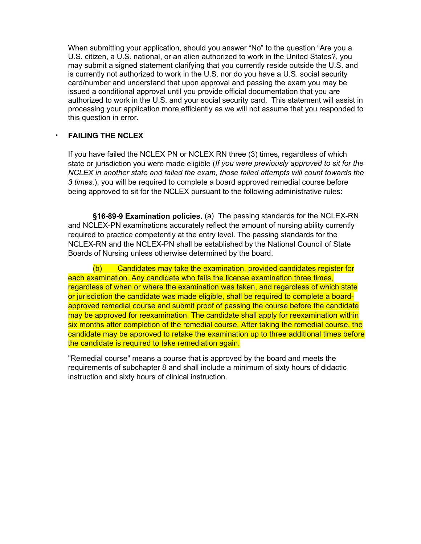When submitting your application, should you answer "No" to the question "Are you a U.S. citizen, a U.S. national, or an alien authorized to work in the United States?, you may submit a signed statement clarifying that you currently reside outside the U.S. and is currently not authorized to work in the U.S. nor do you have a U.S. social security card/number and understand that upon approval and passing the exam you may be issued a conditional approval until you provide official documentation that you are authorized to work in the U.S. and your social security card. This statement will assist in processing your application more efficiently as we will not assume that you responded to this question in error.

# • **FAILING THE NCLEX**

If you have failed the NCLEX PN or NCLEX RN three (3) times, regardless of which state or jurisdiction you were made eligible (*If you were previously approved to sit for the NCLEX in another state and failed the exam, those failed attempts will count towards the 3 times.*), you will be required to complete a board approved remedial course before being approved to sit for the NCLEX pursuant to the following administrative rules:

**§16-89-9 Examination policies.** (a) The passing standards for the NCLEX-RN and NCLEX-PN examinations accurately reflect the amount of nursing ability currently required to practice competently at the entry level. The passing standards for the NCLEX-RN and the NCLEX-PN shall be established by the National Council of State Boards of Nursing unless otherwise determined by the board.

(b) Candidates may take the examination, provided candidates register for each examination. Any candidate who fails the license examination three times, regardless of when or where the examination was taken, and regardless of which state or jurisdiction the candidate was made eligible, shall be required to complete a boardapproved remedial course and submit proof of passing the course before the candidate may be approved for reexamination. The candidate shall apply for reexamination within six months after completion of the remedial course. After taking the remedial course, the candidate may be approved to retake the examination up to three additional times before the candidate is required to take remediation again.

"Remedial course" means a course that is approved by the board and meets the requirements of subchapter 8 and shall include a minimum of sixty hours of didactic instruction and sixty hours of clinical instruction.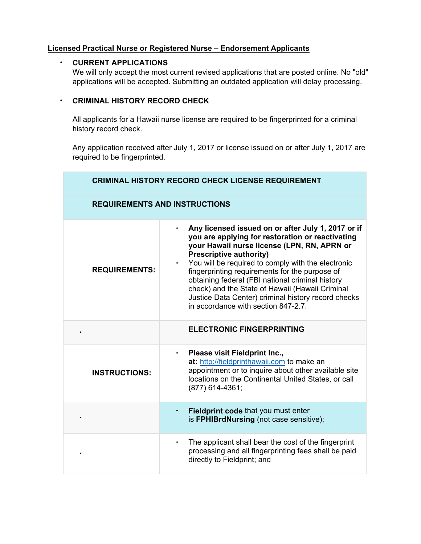# **Licensed Practical Nurse or Registered Nurse – Endorsement Applicants**

# • **CURRENT APPLICATIONS**

We will only accept the most current revised applications that are posted online. No "old" applications will be accepted. Submitting an outdated application will delay processing.

# • **CRIMINAL HISTORY RECORD CHECK**

All applicants for a Hawaii nurse license are required to be fingerprinted for a criminal history record check.

Any application received after July 1, 2017 or license issued on or after July 1, 2017 are required to be fingerprinted.

| <b>CRIMINAL HISTORY RECORD CHECK LICENSE REQUIREMENT</b> |                                                                                                                                                                                                                                                                                                                                                                                                                                                                                                                   |  |  |  |  |  |
|----------------------------------------------------------|-------------------------------------------------------------------------------------------------------------------------------------------------------------------------------------------------------------------------------------------------------------------------------------------------------------------------------------------------------------------------------------------------------------------------------------------------------------------------------------------------------------------|--|--|--|--|--|
| <b>REQUIREMENTS AND INSTRUCTIONS</b>                     |                                                                                                                                                                                                                                                                                                                                                                                                                                                                                                                   |  |  |  |  |  |
| <b>REQUIREMENTS:</b>                                     | Any licensed issued on or after July 1, 2017 or if<br>you are applying for restoration or reactivating<br>your Hawaii nurse license (LPN, RN, APRN or<br><b>Prescriptive authority)</b><br>You will be required to comply with the electronic<br>$\bullet$<br>fingerprinting requirements for the purpose of<br>obtaining federal (FBI national criminal history<br>check) and the State of Hawaii (Hawaii Criminal<br>Justice Data Center) criminal history record checks<br>in accordance with section 847-2.7. |  |  |  |  |  |
|                                                          | <b>ELECTRONIC FINGERPRINTING</b>                                                                                                                                                                                                                                                                                                                                                                                                                                                                                  |  |  |  |  |  |
| <b>INSTRUCTIONS:</b>                                     | Please visit Fieldprint Inc.,<br>$\bullet$<br>at: http://fieldprinthawaii.com to make an<br>appointment or to inquire about other available site<br>locations on the Continental United States, or call<br>$(877)$ 614-4361;                                                                                                                                                                                                                                                                                      |  |  |  |  |  |
|                                                          | Fieldprint code that you must enter<br>$\bullet$<br>is FPHIBrdNursing (not case sensitive);                                                                                                                                                                                                                                                                                                                                                                                                                       |  |  |  |  |  |
|                                                          | The applicant shall bear the cost of the fingerprint<br>processing and all fingerprinting fees shall be paid<br>directly to Fieldprint; and                                                                                                                                                                                                                                                                                                                                                                       |  |  |  |  |  |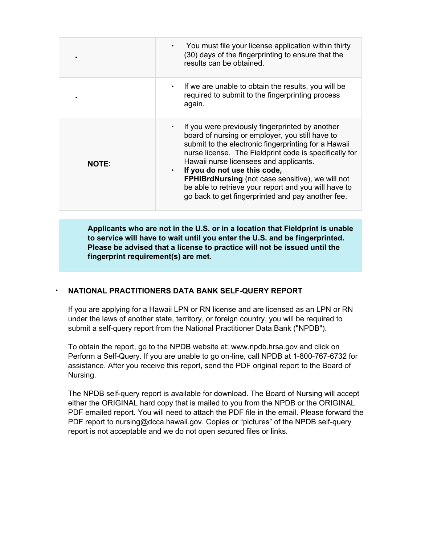|              | You must file your license application within thirty<br>(30) days of the fingerprinting to ensure that the<br>results can be obtained.                                                                                                                                                                                                                                                                                                                                                    |
|--------------|-------------------------------------------------------------------------------------------------------------------------------------------------------------------------------------------------------------------------------------------------------------------------------------------------------------------------------------------------------------------------------------------------------------------------------------------------------------------------------------------|
|              | If we are unable to obtain the results, you will be<br>$\bullet$<br>required to submit to the fingerprinting process<br>again.                                                                                                                                                                                                                                                                                                                                                            |
| <b>NOTE:</b> | If you were previously fingerprinted by another<br>$\bullet$<br>board of nursing or employer, you still have to<br>submit to the electronic fingerprinting for a Hawaii<br>nurse license. The Fieldprint code is specifically for<br>Hawaii nurse licensees and applicants.<br>If you do not use this code,<br>$\bullet$<br>FPHIBrdNursing (not case sensitive), we will not<br>be able to retrieve your report and you will have to<br>go back to get fingerprinted and pay another fee. |

**Applicants who are not in the U.S. or in a location that Fieldprint is unable to service will have to wait until you enter the U.S. and be fingerprinted. Please be advised that a license to practice will not be issued until the fingerprint requirement(s) are met.**

# • **NATIONAL PRACTITIONERS DATA BANK SELF-QUERY REPORT**

If you are applying for a Hawaii LPN or RN license and are licensed as an LPN or RN under the laws of another state, territory, or foreign country, you will be required to submit a self-query report from the National Practitioner Data Bank ("NPDB").

To obtain the report, go to the NPDB website at: www.npdb.hrsa.gov and click on Perform a Self-Query. If you are unable to go on-line, call NPDB at 1-800-767-6732 for assistance. After you receive this report, send the PDF original report to the Board of Nursing.

The NPDB self-query report is available for download. The Board of Nursing will accept either the ORIGINAL hard copy that is mailed to you from the NPDB or the ORIGINAL PDF emailed report. You will need to attach the PDF file in the email. Please forward the PDF report to nursing@dcca.hawaii.gov. Copies or "pictures" of the NPDB self-query report is not acceptable and we do not open secured files or links.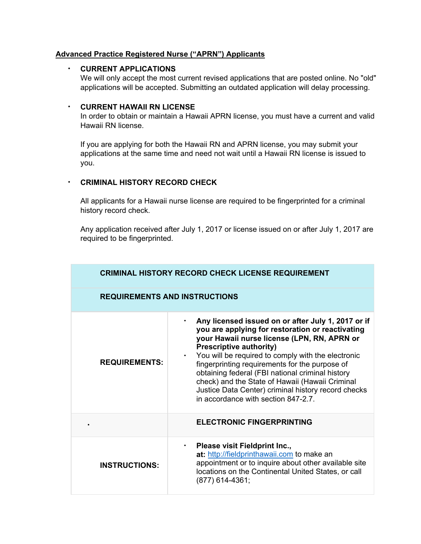# **Advanced Practice Registered Nurse ("APRN") Applicants**

# • **CURRENT APPLICATIONS**

We will only accept the most current revised applications that are posted online. No "old" applications will be accepted. Submitting an outdated application will delay processing.

#### • **CURRENT HAWAII RN LICENSE**

In order to obtain or maintain a Hawaii APRN license, you must have a current and valid Hawaii RN license.

If you are applying for both the Hawaii RN and APRN license, you may submit your applications at the same time and need not wait until a Hawaii RN license is issued to you.

# • **CRIMINAL HISTORY RECORD CHECK**

All applicants for a Hawaii nurse license are required to be fingerprinted for a criminal history record check.

Any application received after July 1, 2017 or license issued on or after July 1, 2017 are required to be fingerprinted.

| <b>CRIMINAL HISTORY RECORD CHECK LICENSE REQUIREMENT</b> |                                                                                                                                                                                                                                                                                                                                                                                                                                                                                                      |  |  |  |  |  |
|----------------------------------------------------------|------------------------------------------------------------------------------------------------------------------------------------------------------------------------------------------------------------------------------------------------------------------------------------------------------------------------------------------------------------------------------------------------------------------------------------------------------------------------------------------------------|--|--|--|--|--|
|                                                          | <b>REQUIREMENTS AND INSTRUCTIONS</b>                                                                                                                                                                                                                                                                                                                                                                                                                                                                 |  |  |  |  |  |
| <b>REQUIREMENTS:</b>                                     | Any licensed issued on or after July 1, 2017 or if<br>you are applying for restoration or reactivating<br>your Hawaii nurse license (LPN, RN, APRN or<br><b>Prescriptive authority)</b><br>You will be required to comply with the electronic<br>fingerprinting requirements for the purpose of<br>obtaining federal (FBI national criminal history<br>check) and the State of Hawaii (Hawaii Criminal<br>Justice Data Center) criminal history record checks<br>in accordance with section 847-2.7. |  |  |  |  |  |
|                                                          | <b>ELECTRONIC FINGERPRINTING</b>                                                                                                                                                                                                                                                                                                                                                                                                                                                                     |  |  |  |  |  |
| <b>INSTRUCTIONS:</b>                                     | Please visit Fieldprint Inc.,<br>at: http://fieldprinthawaii.com to make an<br>appointment or to inquire about other available site<br>locations on the Continental United States, or call<br>(877) 614-4361;                                                                                                                                                                                                                                                                                        |  |  |  |  |  |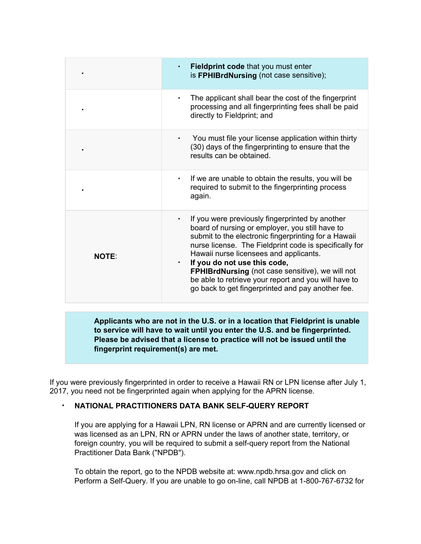|              | Fieldprint code that you must enter<br>is FPHIBrdNursing (not case sensitive);                                                                                                                                                                                                                                                                                                                                                                                                    |
|--------------|-----------------------------------------------------------------------------------------------------------------------------------------------------------------------------------------------------------------------------------------------------------------------------------------------------------------------------------------------------------------------------------------------------------------------------------------------------------------------------------|
|              | The applicant shall bear the cost of the fingerprint<br>$\bullet$<br>processing and all fingerprinting fees shall be paid<br>directly to Fieldprint; and                                                                                                                                                                                                                                                                                                                          |
|              | You must file your license application within thirty<br>$\bullet$<br>(30) days of the fingerprinting to ensure that the<br>results can be obtained.                                                                                                                                                                                                                                                                                                                               |
|              | If we are unable to obtain the results, you will be<br>$\bullet$<br>required to submit to the fingerprinting process<br>again.                                                                                                                                                                                                                                                                                                                                                    |
| <b>NOTE:</b> | If you were previously fingerprinted by another<br>٠<br>board of nursing or employer, you still have to<br>submit to the electronic fingerprinting for a Hawaii<br>nurse license. The Fieldprint code is specifically for<br>Hawaii nurse licensees and applicants.<br>If you do not use this code,<br>$\bullet$<br>FPHIBrdNursing (not case sensitive), we will not<br>be able to retrieve your report and you will have to<br>go back to get fingerprinted and pay another fee. |

**Applicants who are not in the U.S. or in a location that Fieldprint is unable to service will have to wait until you enter the U.S. and be fingerprinted. Please be advised that a license to practice will not be issued until the fingerprint requirement(s) are met.**

If you were previously fingerprinted in order to receive a Hawaii RN or LPN license after July 1, 2017, you need not be fingerprinted again when applying for the APRN license.

# • **NATIONAL PRACTITIONERS DATA BANK SELF-QUERY REPORT**

If you are applying for a Hawaii LPN, RN license or APRN and are currently licensed or was licensed as an LPN, RN or APRN under the laws of another state, territory, or foreign country, you will be required to submit a self-query report from the National Practitioner Data Bank ("NPDB").

To obtain the report, go to the NPDB website at: www.npdb.hrsa.gov and click on Perform a Self-Query. If you are unable to go on-line, call NPDB at 1-800-767-6732 for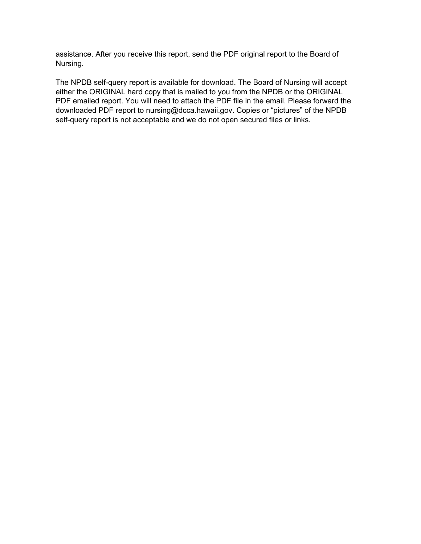assistance. After you receive this report, send the PDF original report to the Board of Nursing.

The NPDB self-query report is available for download. The Board of Nursing will accept either the ORIGINAL hard copy that is mailed to you from the NPDB or the ORIGINAL PDF emailed report. You will need to attach the PDF file in the email. Please forward the downloaded PDF report to nursing@dcca.hawaii.gov. Copies or "pictures" of the NPDB self-query report is not acceptable and we do not open secured files or links.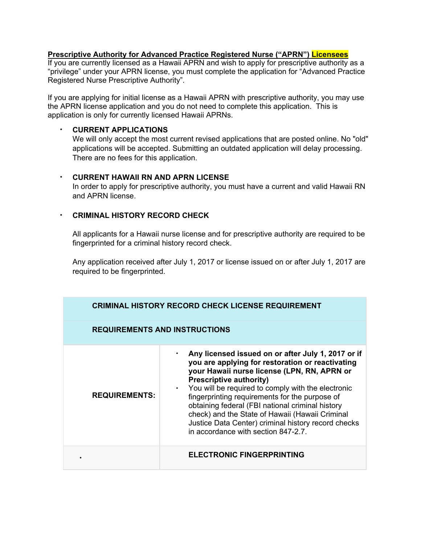# **Prescriptive Authority for Advanced Practice Registered Nurse ("APRN") Licensees**

If you are currently licensed as a Hawaii APRN and wish to apply for prescriptive authority as a "privilege" under your APRN license, you must complete the application for "Advanced Practice Registered Nurse Prescriptive Authority".

If you are applying for initial license as a Hawaii APRN with prescriptive authority, you may use the APRN license application and you do not need to complete this application. This is application is only for currently licensed Hawaii APRNs.

# • **CURRENT APPLICATIONS**

We will only accept the most current revised applications that are posted online. No "old" applications will be accepted. Submitting an outdated application will delay processing. There are no fees for this application.

#### • **CURRENT HAWAII RN AND APRN LICENSE**

In order to apply for prescriptive authority, you must have a current and valid Hawaii RN and APRN license.

# • **CRIMINAL HISTORY RECORD CHECK**

All applicants for a Hawaii nurse license and for prescriptive authority are required to be fingerprinted for a criminal history record check.

Any application received after July 1, 2017 or license issued on or after July 1, 2017 are required to be fingerprinted.

|                      | <b>CRIMINAL HISTORY RECORD CHECK LICENSE REQUIREMENT</b>                                                                                                                                                                                                                                                                                                                                                                                                                                               |  |  |  |  |  |  |
|----------------------|--------------------------------------------------------------------------------------------------------------------------------------------------------------------------------------------------------------------------------------------------------------------------------------------------------------------------------------------------------------------------------------------------------------------------------------------------------------------------------------------------------|--|--|--|--|--|--|
|                      | <b>REQUIREMENTS AND INSTRUCTIONS</b>                                                                                                                                                                                                                                                                                                                                                                                                                                                                   |  |  |  |  |  |  |
| <b>REQUIREMENTS:</b> | Any licensed issued on or after July 1, 2017 or if<br>you are applying for restoration or reactivating<br>your Hawaii nurse license (LPN, RN, APRN or<br><b>Prescriptive authority)</b><br>• You will be required to comply with the electronic<br>fingerprinting requirements for the purpose of<br>obtaining federal (FBI national criminal history<br>check) and the State of Hawaii (Hawaii Criminal<br>Justice Data Center) criminal history record checks<br>in accordance with section 847-2.7. |  |  |  |  |  |  |
|                      | <b>ELECTRONIC FINGERPRINTING</b>                                                                                                                                                                                                                                                                                                                                                                                                                                                                       |  |  |  |  |  |  |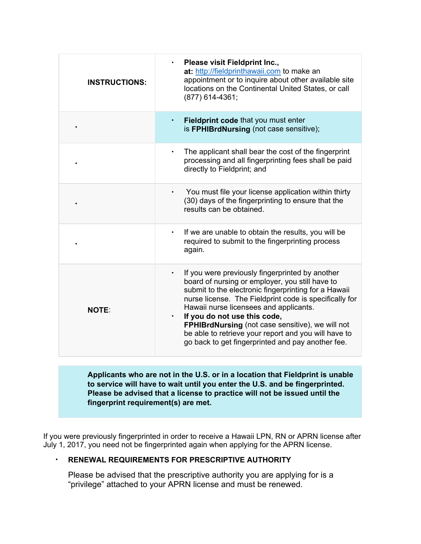| <b>INSTRUCTIONS:</b> | Please visit Fieldprint Inc.,<br>$\bullet$<br>at: http://fieldprinthawaii.com to make an<br>appointment or to inquire about other available site<br>locations on the Continental United States, or call<br>(877) 614-4361;                                                                                                                                                                                                                                                                |  |  |  |  |
|----------------------|-------------------------------------------------------------------------------------------------------------------------------------------------------------------------------------------------------------------------------------------------------------------------------------------------------------------------------------------------------------------------------------------------------------------------------------------------------------------------------------------|--|--|--|--|
|                      | Fieldprint code that you must enter<br>$\bullet$<br>is FPHIBrdNursing (not case sensitive);                                                                                                                                                                                                                                                                                                                                                                                               |  |  |  |  |
|                      | The applicant shall bear the cost of the fingerprint<br>$\bullet$<br>processing and all fingerprinting fees shall be paid<br>directly to Fieldprint; and                                                                                                                                                                                                                                                                                                                                  |  |  |  |  |
|                      | You must file your license application within thirty<br>(30) days of the fingerprinting to ensure that the<br>results can be obtained.                                                                                                                                                                                                                                                                                                                                                    |  |  |  |  |
|                      | If we are unable to obtain the results, you will be<br>$\bullet$<br>required to submit to the fingerprinting process<br>again.                                                                                                                                                                                                                                                                                                                                                            |  |  |  |  |
| <b>NOTE:</b>         | If you were previously fingerprinted by another<br>$\bullet$<br>board of nursing or employer, you still have to<br>submit to the electronic fingerprinting for a Hawaii<br>nurse license. The Fieldprint code is specifically for<br>Hawaii nurse licensees and applicants.<br>If you do not use this code,<br>$\bullet$<br>FPHIBrdNursing (not case sensitive), we will not<br>be able to retrieve your report and you will have to<br>go back to get fingerprinted and pay another fee. |  |  |  |  |

**Applicants who are not in the U.S. or in a location that Fieldprint is unable to service will have to wait until you enter the U.S. and be fingerprinted. Please be advised that a license to practice will not be issued until the fingerprint requirement(s) are met.**

If you were previously fingerprinted in order to receive a Hawaii LPN, RN or APRN license after July 1, 2017, you need not be fingerprinted again when applying for the APRN license.

# • **RENEWAL REQUIREMENTS FOR PRESCRIPTIVE AUTHORITY**

Please be advised that the prescriptive authority you are applying for is a "privilege" attached to your APRN license and must be renewed.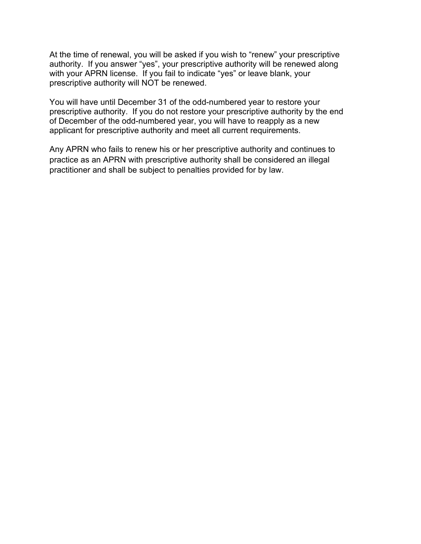At the time of renewal, you will be asked if you wish to "renew" your prescriptive authority. If you answer "yes", your prescriptive authority will be renewed along with your APRN license. If you fail to indicate "yes" or leave blank, your prescriptive authority will NOT be renewed.

You will have until December 31 of the odd-numbered year to restore your prescriptive authority. If you do not restore your prescriptive authority by the end of December of the odd-numbered year, you will have to reapply as a new applicant for prescriptive authority and meet all current requirements.

Any APRN who fails to renew his or her prescriptive authority and continues to practice as an APRN with prescriptive authority shall be considered an illegal practitioner and shall be subject to penalties provided for by law.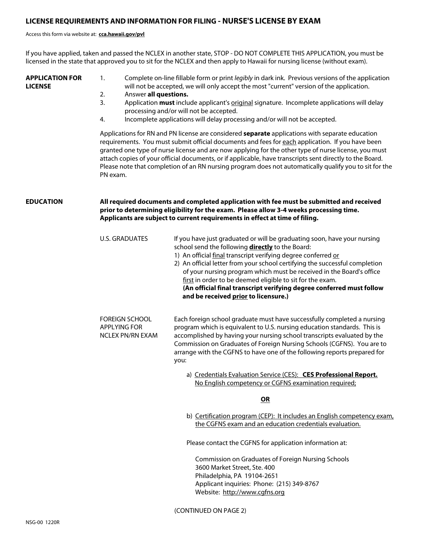#### **LICENSE REQUIREMENTS AND INFORMATION FOR FILING - NURSE'S LICENSE BY EXAM**

#### Access this form via website at: **cca.hawaii.gov/pvl**

If you have applied, taken and passed the NCLEX in another state, STOP - DO NOT COMPLETE THIS APPLICATION, you must be licensed in the state that approved you to sit for the NCLEX and then apply to Hawaii for nursing license (without exam).

**APPLICATION FOR LICENSE**

- 1. Complete on-line fillable form or print *legibly* in dark ink. Previous versions of the application will not be accepted, we will only accept the most "current" version of the application.
- 2. Answer **all questions.**
- 3. Application **must** include applicant's original signature. Incomplete applications will delay processing and/or will not be accepted.
- 4. Incomplete applications will delay processing and/or will not be accepted.

Applications for RN and PN license are considered **separate** applications with separate education requirements. You must submit official documents and fees for each application. If you have been granted one type of nurse license and are now applying for the other type of nurse license, you must attach copies of your official documents, or if applicable, have transcripts sent directly to the Board. Please note that completion of an RN nursing program does not automatically qualify you to sit for the PN exam.

#### **EDUCATION All required documents and completed application with fee must be submitted and received prior to determining eligibility for the exam. Please allow 3-4 weeks processing time. Applicants are subject to current requirements in effect at time of filing.**

| U.S. GRADUATES                                            | If you have just graduated or will be graduating soon, have your nursing<br>school send the following directly to the Board:<br>1) An official final transcript verifying degree conferred or<br>2) An official letter from your school certifying the successful completion<br>of your nursing program which must be received in the Board's office<br>first in order to be deemed eligible to sit for the exam.<br>(An official final transcript verifying degree conferred must follow<br>and be received prior to licensure.) |
|-----------------------------------------------------------|-----------------------------------------------------------------------------------------------------------------------------------------------------------------------------------------------------------------------------------------------------------------------------------------------------------------------------------------------------------------------------------------------------------------------------------------------------------------------------------------------------------------------------------|
| <b>FOREIGN SCHOOL</b><br>APPLYING FOR<br>NCLEX PN/RN EXAM | Each foreign school graduate must have successfully completed a nursing<br>program which is equivalent to U.S. nursing education standards. This is<br>accomplished by having your nursing school transcripts evaluated by the<br>Commission on Graduates of Foreign Nursing Schools (CGFNS). You are to<br>arrange with the CGFNS to have one of the following reports prepared for<br>you:<br>a) Credentials Evaluation Service (CES): CES Professional Report.                                                                 |
|                                                           | No English competency or CGFNS examination required;                                                                                                                                                                                                                                                                                                                                                                                                                                                                              |
|                                                           | ΟR                                                                                                                                                                                                                                                                                                                                                                                                                                                                                                                                |

b) Certification program (CEP): It includes an English competency exam, the CGFNS exam and an education credentials evaluation.

Please contact the CGFNS for application information at:

 Commission on Graduates of Foreign Nursing Schools 3600 Market Street, Ste. 400 Philadelphia, PA 19104-2651 Applicant inquiries: Phone: (215) 349-8767 Website: http://www.cgfns.org

(CONTINUED ON PAGE 2)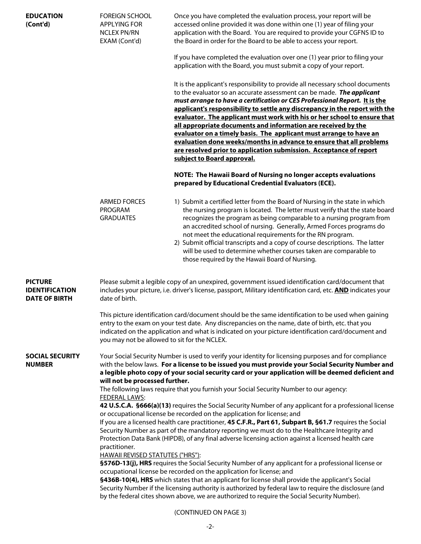| <b>EDUCATION</b><br>(Cont'd)                                    | <b>FOREIGN SCHOOL</b><br><b>APPLYING FOR</b><br><b>NCLEX PN/RN</b><br>EXAM (Cont'd)                                                                                                                                       | Once you have completed the evaluation process, your report will be<br>accessed online provided it was done within one (1) year of filing your<br>application with the Board. You are required to provide your CGFNS ID to<br>the Board in order for the Board to be able to access your report.<br>If you have completed the evaluation over one (1) year prior to filing your<br>application with the Board, you must submit a copy of your report.<br>It is the applicant's responsibility to provide all necessary school documents<br>to the evaluator so an accurate assessment can be made. The applicant<br>must arrange to have a certification or CES Professional Report. It is the<br>applicant's responsibility to settle any discrepancy in the report with the<br>evaluator. The applicant must work with his or her school to ensure that<br>all appropriate documents and information are received by the<br>evaluator on a timely basis. The applicant must arrange to have an<br>evaluation done weeks/months in advance to ensure that all problems<br>are resolved prior to application submission. Acceptance of report<br>subject to Board approval.<br>NOTE: The Hawaii Board of Nursing no longer accepts evaluations<br>prepared by Educational Credential Evaluators (ECE).                                                                                                         |  |  |  |
|-----------------------------------------------------------------|---------------------------------------------------------------------------------------------------------------------------------------------------------------------------------------------------------------------------|----------------------------------------------------------------------------------------------------------------------------------------------------------------------------------------------------------------------------------------------------------------------------------------------------------------------------------------------------------------------------------------------------------------------------------------------------------------------------------------------------------------------------------------------------------------------------------------------------------------------------------------------------------------------------------------------------------------------------------------------------------------------------------------------------------------------------------------------------------------------------------------------------------------------------------------------------------------------------------------------------------------------------------------------------------------------------------------------------------------------------------------------------------------------------------------------------------------------------------------------------------------------------------------------------------------------------------------------------------------------------------------------------------------|--|--|--|
|                                                                 | ARMED FORCES<br>PROGRAM<br><b>GRADUATES</b>                                                                                                                                                                               | 1) Submit a certified letter from the Board of Nursing in the state in which<br>the nursing program is located. The letter must verify that the state board<br>recognizes the program as being comparable to a nursing program from<br>an accredited school of nursing. Generally, Armed Forces programs do<br>not meet the educational requirements for the RN program.<br>2) Submit official transcripts and a copy of course descriptions. The latter<br>will be used to determine whether courses taken are comparable to<br>those required by the Hawaii Board of Nursing.                                                                                                                                                                                                                                                                                                                                                                                                                                                                                                                                                                                                                                                                                                                                                                                                                                |  |  |  |
| <b>PICTURE</b><br><b>IDENTIFICATION</b><br><b>DATE OF BIRTH</b> | Please submit a legible copy of an unexpired, government issued identification card/document that<br>includes your picture, i.e. driver's license, passport, Military identification card, etc. <b>AND</b> indicates your |                                                                                                                                                                                                                                                                                                                                                                                                                                                                                                                                                                                                                                                                                                                                                                                                                                                                                                                                                                                                                                                                                                                                                                                                                                                                                                                                                                                                                |  |  |  |
|                                                                 | you may not be allowed to sit for the NCLEX.                                                                                                                                                                              | This picture identification card/document should be the same identification to be used when gaining<br>entry to the exam on your test date. Any discrepancies on the name, date of birth, etc. that you<br>indicated on the application and what is indicated on your picture identification card/document and                                                                                                                                                                                                                                                                                                                                                                                                                                                                                                                                                                                                                                                                                                                                                                                                                                                                                                                                                                                                                                                                                                 |  |  |  |
| <b>SOCIAL SECURITY</b><br><b>NUMBER</b>                         | will not be processed further.<br><b>FEDERAL LAWS:</b><br>practitioner.<br><b>HAWAII REVISED STATUTES ("HRS"):</b>                                                                                                        | Your Social Security Number is used to verify your identity for licensing purposes and for compliance<br>with the below laws. For a license to be issued you must provide your Social Security Number and<br>a legible photo copy of your social security card or your application will be deemed deficient and<br>The following laws require that you furnish your Social Security Number to our agency:<br>42 U.S.C.A. §666(a)(13) requires the Social Security Number of any applicant for a professional license<br>or occupational license be recorded on the application for license; and<br>If you are a licensed health care practitioner, 45 C.F.R., Part 61, Subpart B, §61.7 requires the Social<br>Security Number as part of the mandatory reporting we must do to the Healthcare Integrity and<br>Protection Data Bank (HIPDB), of any final adverse licensing action against a licensed health care<br>§576D-13(j), HRS requires the Social Security Number of any applicant for a professional license or<br>occupational license be recorded on the application for license; and<br>§436B-10(4), HRS which states that an applicant for license shall provide the applicant's Social<br>Security Number if the licensing authority is authorized by federal law to require the disclosure (and<br>by the federal cites shown above, we are authorized to require the Social Security Number). |  |  |  |

(CONTINUED ON PAGE 3)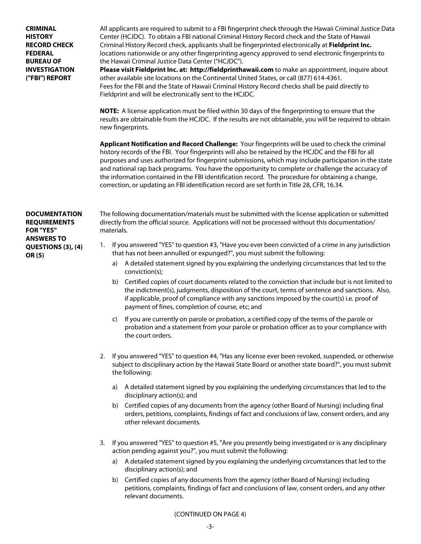**CRIMINAL HISTORY RECORD CHECK FEDERAL BUREAU OF INVESTIGATION ("FBI") REPORT**

All applicants are required to submit to a FBI fingerprint check through the Hawaii Criminal Justice Data Center (HCJDC). To obtain a FBI national Criminal History Record check and the State of Hawaii Criminal History Record check, applicants shall be fingerprinted electronically at **Fieldprint Inc.** locations nationwide or any other fingerprinting agency approved to send electronic fingerprints to the Hawaii Criminal Justice Data Center ("HCJDC").

**Please visit Fieldprint Inc. at: http://fieldprinthawaii.com** to make an appointment, inquire about other available site locations on the Continental United States, or call (877) 614-4361. Fees for the FBI and the State of Hawaii Criminal History Record checks shall be paid directly to Fieldprint and will be electronically sent to the HCJDC.

**NOTE:** A license application must be filed within 30 days of the fingerprinting to ensure that the results are obtainable from the HCJDC. If the results are not obtainable, you will be required to obtain new fingerprints.

**Applicant Notification and Record Challenge:** Your fingerprints will be used to check the criminal history records of the FBI. Your fingerprints will also be retained by the HCJDC and the FBI for all purposes and uses authorized for fingerprint submissions, which may include participation in the state and national rap back programs. You have the opportunity to complete or challenge the accuracy of the information contained in the FBI identification record. The procedure for obtaining a change, correction, or updating an FBI identification record are set forth in Title 28, CFR, 16.34.

**DOCUMENTATION REQUIREMENTS FOR "YES" ANSWERS TO QUESTIONS (3), (4) OR (5)**

The following documentation/materials must be submitted with the license application or submitted directly from the official source. Applications will not be processed without this documentation/ materials.

- 1. If you answered "YES" to question #3, "Have you ever been convicted of a crime in any jurisdiction that has not been annulled or expunged?", you must submit the following:
	- a) A detailed statement signed by you explaining the underlying circumstances that led to the conviction(s);
	- b) Certified copies of court documents related to the conviction that include but is not limited to the indictment(s), judgments, disposition of the court, terms of sentence and sanctions. Also, if applicable, proof of compliance with any sanctions imposed by the court(s) i.e. proof of payment of fines, completion of course, etc; and
	- c) If you are currently on parole or probation, a certified copy of the terms of the parole or probation and a statement from your parole or probation officer as to your compliance with the court orders.
- 2. If you answered "YES" to question #4, "Has any license ever been revoked, suspended, or otherwise subject to disciplinary action by the Hawaii State Board or another state board?", you must submit the following:
	- a) A detailed statement signed by you explaining the underlying circumstances that led to the disciplinary action(s); and
	- b) Certified copies of any documents from the agency (other Board of Nursing) including final orders, petitions, complaints, findings of fact and conclusions of law, consent orders, and any other relevant documents.
- 3. If you answered "YES" to question #5, "Are you presently being investigated or is any disciplinary action pending against you?", you must submit the following:
	- a) A detailed statement signed by you explaining the underlying circumstances that led to the disciplinary action(s); and
	- b) Certified copies of any documents from the agency (other Board of Nursing) including petitions, complaints, findings of fact and conclusions of law, consent orders, and any other relevant documents.

#### (CONTINUED ON PAGE 4)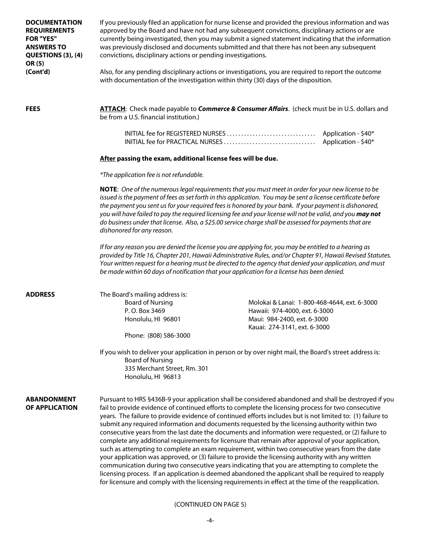| <b>DOCUMENTATION</b><br><b>REQUIREMENTS</b><br><b>FOR "YES"</b><br><b>ANSWERS TO</b><br>QUESTIONS (3), (4)<br>OR (5)<br>(Cont'd) | If you previously filed an application for nurse license and provided the previous information and was<br>approved by the Board and have not had any subsequent convictions, disciplinary actions or are<br>currently being investigated, then you may submit a signed statement indicating that the information<br>was previously disclosed and documents submitted and that there has not been any subsequent<br>convictions, disciplinary actions or pending investigations.<br>Also, for any pending disciplinary actions or investigations, you are required to report the outcome<br>with documentation of the investigation within thirty (30) days of the disposition.                                                                                                                                                                                                                                                                                                                                                                                                                                                                                  |                                                                                                                                                                                                                                                                                                                                                                                                                                  |  |  |  |
|----------------------------------------------------------------------------------------------------------------------------------|-----------------------------------------------------------------------------------------------------------------------------------------------------------------------------------------------------------------------------------------------------------------------------------------------------------------------------------------------------------------------------------------------------------------------------------------------------------------------------------------------------------------------------------------------------------------------------------------------------------------------------------------------------------------------------------------------------------------------------------------------------------------------------------------------------------------------------------------------------------------------------------------------------------------------------------------------------------------------------------------------------------------------------------------------------------------------------------------------------------------------------------------------------------------|----------------------------------------------------------------------------------------------------------------------------------------------------------------------------------------------------------------------------------------------------------------------------------------------------------------------------------------------------------------------------------------------------------------------------------|--|--|--|
| <b>FEES</b>                                                                                                                      | be from a U.S. financial institution.)                                                                                                                                                                                                                                                                                                                                                                                                                                                                                                                                                                                                                                                                                                                                                                                                                                                                                                                                                                                                                                                                                                                          | ATTACH: Check made payable to Commerce & Consumer Affairs. (check must be in U.S. dollars and                                                                                                                                                                                                                                                                                                                                    |  |  |  |
|                                                                                                                                  |                                                                                                                                                                                                                                                                                                                                                                                                                                                                                                                                                                                                                                                                                                                                                                                                                                                                                                                                                                                                                                                                                                                                                                 | INITIAL fee for REGISTERED NURSES<br>Application - \$40*<br>INITIAL fee for PRACTICAL NURSES<br>Application - \$40*                                                                                                                                                                                                                                                                                                              |  |  |  |
|                                                                                                                                  | After passing the exam, additional license fees will be due.                                                                                                                                                                                                                                                                                                                                                                                                                                                                                                                                                                                                                                                                                                                                                                                                                                                                                                                                                                                                                                                                                                    |                                                                                                                                                                                                                                                                                                                                                                                                                                  |  |  |  |
|                                                                                                                                  | *The application fee is not refundable.                                                                                                                                                                                                                                                                                                                                                                                                                                                                                                                                                                                                                                                                                                                                                                                                                                                                                                                                                                                                                                                                                                                         |                                                                                                                                                                                                                                                                                                                                                                                                                                  |  |  |  |
|                                                                                                                                  | NOTE: One of the numerous legal requirements that you must meet in order for your new license to be<br>issued is the payment of fees as set forth in this application. You may be sent a license certificate before<br>the payment you sent us for your required fees is honored by your bank. If your payment is dishonored,<br>you will have failed to pay the required licensing fee and your license will not be valid, and you may not<br>do business under that license. Also, a \$25.00 service charge shall be assessed for payments that are<br>dishonored for any reason.                                                                                                                                                                                                                                                                                                                                                                                                                                                                                                                                                                             |                                                                                                                                                                                                                                                                                                                                                                                                                                  |  |  |  |
|                                                                                                                                  |                                                                                                                                                                                                                                                                                                                                                                                                                                                                                                                                                                                                                                                                                                                                                                                                                                                                                                                                                                                                                                                                                                                                                                 | If for any reason you are denied the license you are applying for, you may be entitled to a hearing as<br>provided by Title 16, Chapter 201, Hawaii Administrative Rules, and/or Chapter 91, Hawaii Revised Statutes.<br>Your written request for a hearing must be directed to the agency that denied your application, and must<br>be made within 60 days of notification that your application for a license has been denied. |  |  |  |
| <b>ADDRESS</b>                                                                                                                   | The Board's mailing address is:<br><b>Board of Nursing</b><br>P.O. Box 3469<br>Honolulu, HI 96801                                                                                                                                                                                                                                                                                                                                                                                                                                                                                                                                                                                                                                                                                                                                                                                                                                                                                                                                                                                                                                                               | Molokai & Lanai: 1-800-468-4644, ext. 6-3000<br>Hawaii: 974-4000, ext. 6-3000<br>Maui: 984-2400, ext. 6-3000<br>Kauai: 274-3141, ext. 6-3000                                                                                                                                                                                                                                                                                     |  |  |  |
|                                                                                                                                  | Phone: (808) 586-3000                                                                                                                                                                                                                                                                                                                                                                                                                                                                                                                                                                                                                                                                                                                                                                                                                                                                                                                                                                                                                                                                                                                                           |                                                                                                                                                                                                                                                                                                                                                                                                                                  |  |  |  |
|                                                                                                                                  | If you wish to deliver your application in person or by over night mail, the Board's street address is:<br><b>Board of Nursing</b><br>335 Merchant Street, Rm. 301<br>Honolulu, HI 96813                                                                                                                                                                                                                                                                                                                                                                                                                                                                                                                                                                                                                                                                                                                                                                                                                                                                                                                                                                        |                                                                                                                                                                                                                                                                                                                                                                                                                                  |  |  |  |
| <b>ABANDONMENT</b><br>OF APPLICATION                                                                                             | Pursuant to HRS §436B-9 your application shall be considered abandoned and shall be destroyed if you<br>fail to provide evidence of continued efforts to complete the licensing process for two consecutive<br>years. The failure to provide evidence of continued efforts includes but is not limited to: (1) failure to<br>submit any required information and documents requested by the licensing authority within two<br>consecutive years from the last date the documents and information were requested, or (2) failure to<br>complete any additional requirements for licensure that remain after approval of your application,<br>such as attempting to complete an exam requirement, within two consecutive years from the date<br>your application was approved, or (3) failure to provide the licensing authority with any written<br>communication during two consecutive years indicating that you are attempting to complete the<br>licensing process. If an application is deemed abandoned the applicant shall be required to reapply<br>for licensure and comply with the licensing requirements in effect at the time of the reapplication. |                                                                                                                                                                                                                                                                                                                                                                                                                                  |  |  |  |

#### (CONTINUED ON PAGE 5)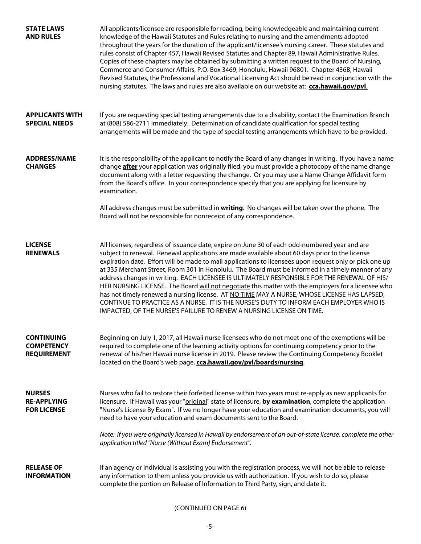| <b>STATE LAWS</b><br><b>AND RULES</b>                        | All applicants/licensee are responsible for reading, being knowledgeable and maintaining current<br>knowledge of the Hawaii Statutes and Rules relating to nursing and the amendments adopted<br>throughout the years for the duration of the applicant/licensee's nursing career. These statutes and<br>rules consist of Chapter 457, Hawaii Revised Statutes and Chapter 89, Hawaii Administrative Rules.<br>Copies of these chapters may be obtained by submitting a written request to the Board of Nursing,<br>Commerce and Consumer Affairs, P.O. Box 3469, Honolulu, Hawaii 96801. Chapter 436B, Hawaii<br>Revised Statutes, the Professional and Vocational Licensing Act should be read in conjunction with the<br>nursing statutes. The laws and rules are also available on our website at: cca.hawaii.gov/pvl.                                                               |
|--------------------------------------------------------------|------------------------------------------------------------------------------------------------------------------------------------------------------------------------------------------------------------------------------------------------------------------------------------------------------------------------------------------------------------------------------------------------------------------------------------------------------------------------------------------------------------------------------------------------------------------------------------------------------------------------------------------------------------------------------------------------------------------------------------------------------------------------------------------------------------------------------------------------------------------------------------------|
| <b>APPLICANTS WITH</b><br><b>SPECIAL NEEDS</b>               | If you are requesting special testing arrangements due to a disability, contact the Examination Branch<br>at (808) 586-2711 immediately. Determination of candidate qualification for special testing<br>arrangements will be made and the type of special testing arrangements which have to be provided.                                                                                                                                                                                                                                                                                                                                                                                                                                                                                                                                                                               |
| <b>ADDRESS/NAME</b><br><b>CHANGES</b>                        | It is the responsibility of the applicant to notify the Board of any changes in writing. If you have a name<br>change <b>after</b> your application was originally filed, you must provide a photocopy of the name change<br>document along with a letter requesting the change. Or you may use a Name Change Affidavit form<br>from the Board's office. In your correspondence specify that you are applying for licensure by<br>examination.                                                                                                                                                                                                                                                                                                                                                                                                                                           |
|                                                              | All address changes must be submitted in writing. No changes will be taken over the phone. The<br>Board will not be responsible for nonreceipt of any correspondence.                                                                                                                                                                                                                                                                                                                                                                                                                                                                                                                                                                                                                                                                                                                    |
| <b>LICENSE</b><br><b>RENEWALS</b>                            | All licenses, regardless of issuance date, expire on June 30 of each odd-numbered year and are<br>subject to renewal. Renewal applications are made available about 60 days prior to the license<br>expiration date. Effort will be made to mail applications to licensees upon request only or pick one up<br>at 335 Merchant Street, Room 301 in Honolulu. The Board must be informed in a timely manner of any<br>address changes in writing. EACH LICENSEE IS ULTIMATELY RESPONSIBLE FOR THE RENEWAL OF HIS/<br>HER NURSING LICENSE. The Board will not negotiate this matter with the employers for a licensee who<br>has not timely renewed a nursing license. AT NO TIME MAY A NURSE, WHOSE LICENSE HAS LAPSED,<br>CONTINUE TO PRACTICE AS A NURSE. IT IS THE NURSE'S DUTY TO INFORM EACH EMPLOYER WHO IS<br>IMPACTED, OF THE NURSE'S FAILURE TO RENEW A NURSING LICENSE ON TIME. |
| <b>CONTINUING</b><br><b>COMPETENCY</b><br><b>REQUIREMENT</b> | Beginning on July 1, 2017, all Hawaii nurse licensees who do not meet one of the exemptions will be<br>required to complete one of the learning activity options for continuing competency prior to the<br>renewal of his/her Hawaii nurse license in 2019. Please review the Continuing Competency Booklet<br>located on the Board's web page, cca.hawaii.gov/pvl/boards/nursing.                                                                                                                                                                                                                                                                                                                                                                                                                                                                                                       |
| <b>NURSES</b><br><b>RE-APPLYING</b><br><b>FOR LICENSE</b>    | Nurses who fail to restore their forfeited license within two years must re-apply as new applicants for<br>licensure. If Hawaii was your "original" state of licensure, by examination, complete the application<br>"Nurse's License By Exam". If we no longer have your education and examination documents, you will<br>need to have your education and exam documents sent to the Board.                                                                                                                                                                                                                                                                                                                                                                                                                                                                                              |
|                                                              | Note: If you were originally licensed in Hawaii by endorsement of an out-of-state license, complete the other<br>application titled "Nurse (Without Exam) Endorsement".                                                                                                                                                                                                                                                                                                                                                                                                                                                                                                                                                                                                                                                                                                                  |
| <b>RELEASE OF</b><br><b>INFORMATION</b>                      | If an agency or individual is assisting you with the registration process, we will not be able to release<br>any information to them unless you provide us with authorization. If you wish to do so, please<br>complete the portion on Release of Information to Third Party, sign, and date it.                                                                                                                                                                                                                                                                                                                                                                                                                                                                                                                                                                                         |

#### (CONTINUED ON PAGE 6)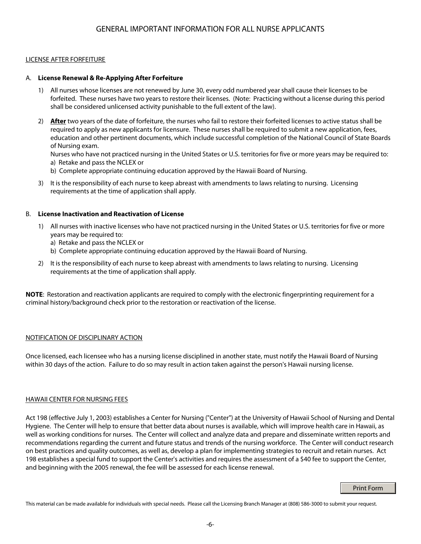#### LICENSE AFTER FORFEITURE

#### A. **License Renewal & Re-Applying After Forfeiture**

- 1) All nurses whose licenses are not renewed by June 30, every odd numbered year shall cause their licenses to be forfeited. These nurses have two years to restore their licenses. (Note: Practicing without a license during this period shall be considered unlicensed activity punishable to the full extent of the law).
- 2) **After** two years of the date of forfeiture, the nurses who fail to restore their forfeited licenses to active status shall be required to apply as new applicants for licensure. These nurses shall be required to submit a new application, fees, education and other pertinent documents, which include successful completion of the National Council of State Boards of Nursing exam.

Nurses who have not practiced nursing in the United States or U.S. territories for five or more years may be required to: a) Retake and pass the NCLEX or

- b) Complete appropriate continuing education approved by the Hawaii Board of Nursing.
- 3) It is the responsibility of each nurse to keep abreast with amendments to laws relating to nursing. Licensing requirements at the time of application shall apply.

#### B. **License Inactivation and Reactivation of License**

- 1) All nurses with inactive licenses who have not practiced nursing in the United States or U.S. territories for five or more years may be required to:
	- a) Retake and pass the NCLEX or
	- b) Complete appropriate continuing education approved by the Hawaii Board of Nursing.
- 2) It is the responsibility of each nurse to keep abreast with amendments to laws relating to nursing. Licensing requirements at the time of application shall apply.

**NOTE**: Restoration and reactivation applicants are required to comply with the electronic fingerprinting requirement for a criminal history/background check prior to the restoration or reactivation of the license.

#### NOTIFICATION OF DISCIPLINARY ACTION

Once licensed, each licensee who has a nursing license disciplined in another state, must notify the Hawaii Board of Nursing within 30 days of the action. Failure to do so may result in action taken against the person's Hawaii nursing license.

#### HAWAII CENTER FOR NURSING FEES

Act 198 (effective July 1, 2003) establishes a Center for Nursing ("Center") at the University of Hawaii School of Nursing and Dental Hygiene. The Center will help to ensure that better data about nurses is available, which will improve health care in Hawaii, as well as working conditions for nurses. The Center will collect and analyze data and prepare and disseminate written reports and recommendations regarding the current and future status and trends of the nursing workforce. The Center will conduct research on best practices and quality outcomes, as well as, develop a plan for implementing strategies to recruit and retain nurses. Act 198 establishes a special fund to support the Center's activities and requires the assessment of a \$40 fee to support the Center, and beginning with the 2005 renewal, the fee will be assessed for each license renewal.

#### Print Form

This material can be made available for individuals with special needs. Please call the Licensing Branch Manager at (808) 586-3000 to submit your request.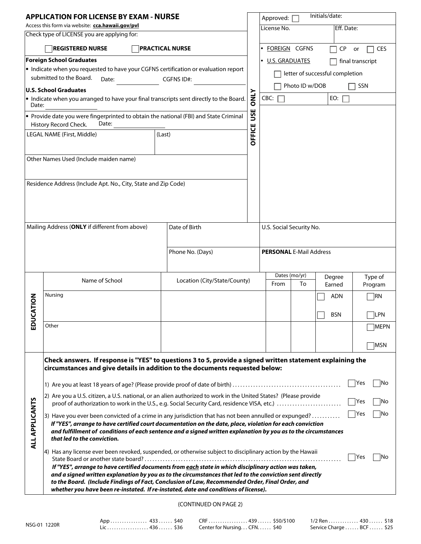| <b>APPLICATION FOR LICENSE BY EXAM - NURSE</b>                                                  |                                                                                                                                                                                                                     |                              |                  | Approved: [                    |                | Initials/date:                  |                   |  |
|-------------------------------------------------------------------------------------------------|---------------------------------------------------------------------------------------------------------------------------------------------------------------------------------------------------------------------|------------------------------|------------------|--------------------------------|----------------|---------------------------------|-------------------|--|
| Access this form via website: cca.hawaii.gov/pvl<br>Check type of LICENSE you are applying for: |                                                                                                                                                                                                                     |                              |                  | License No.                    |                | Eff. Date:                      |                   |  |
|                                                                                                 | <b>REGISTERED NURSE</b>                                                                                                                                                                                             |                              | · FOREIGN CGFNS  |                                | <b>CP</b>      | <b>CES</b><br>or                |                   |  |
| <b>PRACTICAL NURSE</b><br><b>Foreign School Graduates</b>                                       |                                                                                                                                                                                                                     |                              |                  |                                |                |                                 |                   |  |
| $\bullet$ Indicate when you requested to have your CGFNS certification or evaluation report     |                                                                                                                                                                                                                     |                              | · U.S. GRADUATES |                                |                | final transcript                |                   |  |
|                                                                                                 | submitted to the Board.<br>Date:                                                                                                                                                                                    | CGFNS ID#:                   |                  |                                |                | letter of successful completion |                   |  |
|                                                                                                 | U.S. School Graduates                                                                                                                                                                                               |                              |                  |                                | Photo ID w/DOB |                                 | SSN               |  |
| Date:                                                                                           | • Indicate when you arranged to have your final transcripts sent directly to the Board.                                                                                                                             |                              | <b>ONLY</b>      | CBC:                           |                | EO: $\Box$                      |                   |  |
|                                                                                                 | • Provide date you were fingerprinted to obtain the national (FBI) and State Criminal                                                                                                                               |                              | USE              |                                |                |                                 |                   |  |
|                                                                                                 | History Record Check.<br>Date:<br>LEGAL NAME (First, Middle)                                                                                                                                                        | (Last)                       | <b>OFFICE</b>    |                                |                |                                 |                   |  |
|                                                                                                 |                                                                                                                                                                                                                     |                              |                  |                                |                |                                 |                   |  |
|                                                                                                 | Other Names Used (Include maiden name)                                                                                                                                                                              |                              |                  |                                |                |                                 |                   |  |
|                                                                                                 |                                                                                                                                                                                                                     |                              |                  |                                |                |                                 |                   |  |
|                                                                                                 | Residence Address (Include Apt. No., City, State and Zip Code)                                                                                                                                                      |                              |                  |                                |                |                                 |                   |  |
|                                                                                                 |                                                                                                                                                                                                                     |                              |                  |                                |                |                                 |                   |  |
|                                                                                                 |                                                                                                                                                                                                                     |                              |                  |                                |                |                                 |                   |  |
|                                                                                                 | Mailing Address (ONLY if different from above)                                                                                                                                                                      | Date of Birth                |                  | U.S. Social Security No.       |                |                                 |                   |  |
|                                                                                                 |                                                                                                                                                                                                                     |                              |                  |                                |                |                                 |                   |  |
|                                                                                                 |                                                                                                                                                                                                                     | Phone No. (Days)             |                  | <b>PERSONAL E-Mail Address</b> |                |                                 |                   |  |
|                                                                                                 |                                                                                                                                                                                                                     |                              |                  |                                |                |                                 |                   |  |
|                                                                                                 | Name of School                                                                                                                                                                                                      | Location (City/State/County) |                  |                                | Dates (mo/yr)  | Degree                          | Type of           |  |
|                                                                                                 |                                                                                                                                                                                                                     |                              |                  | From                           | To             | Earned                          | Program           |  |
| <b>JCATION</b>                                                                                  | Nursing                                                                                                                                                                                                             |                              |                  |                                |                | ADN                             | $\n  IRN\n$       |  |
|                                                                                                 |                                                                                                                                                                                                                     |                              |                  |                                |                | <b>BSN</b>                      | LPN               |  |
| 읎                                                                                               | Other                                                                                                                                                                                                               |                              |                  |                                |                |                                 | MEPN              |  |
|                                                                                                 |                                                                                                                                                                                                                     |                              |                  |                                |                |                                 | MSN               |  |
|                                                                                                 | Check answers. If response is "YES" to questions 3 to 5, provide a signed written statement explaining the                                                                                                          |                              |                  |                                |                |                                 |                   |  |
|                                                                                                 | circumstances and give details in addition to the documents requested below:                                                                                                                                        |                              |                  |                                |                |                                 |                   |  |
|                                                                                                 |                                                                                                                                                                                                                     |                              |                  |                                |                |                                 | Yes<br> No        |  |
|                                                                                                 | 2) Are you a U.S. citizen, a U.S. national, or an alien authorized to work in the United States? (Please provide<br>proof of authorization to work in the U.S., e.g. Social Security Card, residence VISA, etc.)    |                              |                  |                                |                |                                 | No<br> Yes        |  |
|                                                                                                 |                                                                                                                                                                                                                     |                              |                  |                                |                |                                 | <b>Yes</b><br> No |  |
|                                                                                                 | 3) Have you ever been convicted of a crime in any jurisdiction that has not been annulled or expunged?<br>If "YES", arrange to have certified court documentation on the date, place, violation for each conviction |                              |                  |                                |                |                                 |                   |  |
| <b>ALL APPLICANTS</b>                                                                           | and fulfillment of conditions of each sentence and a signed written explanation by you as to the circumstances<br>that led to the conviction.                                                                       |                              |                  |                                |                |                                 |                   |  |
|                                                                                                 | 4) Has any license ever been revoked, suspended, or otherwise subject to disciplinary action by the Hawaii                                                                                                          |                              |                  |                                |                |                                 |                   |  |
|                                                                                                 |                                                                                                                                                                                                                     |                              |                  |                                |                |                                 | Yes<br>lNo        |  |
|                                                                                                 | If "YES", arrange to have certified documents from each state in which disciplinary action was taken,<br>and a signed written explanation by you as to the circumstances that led to the conviction sent directly   |                              |                  |                                |                |                                 |                   |  |
|                                                                                                 | to the Board. (Include Findings of Fact, Conclusion of Law, Recommended Order, Final Order, and                                                                                                                     |                              |                  |                                |                |                                 |                   |  |
|                                                                                                 | whether you have been re-instated. If re-instated, date and conditions of license).                                                                                                                                 |                              |                  |                                |                |                                 |                   |  |

#### (CONTINUED ON PAGE 2)

App . . . . . . . . . . . . . . . . 433 . . . . . . \$40 Lic . . . . . . . . . . . . . . . . . . 436 . . . . . . \$36

CRF . . . . . . . . . . . . . . . . . 439 . . . . . . \$50/\$100 Center for Nursing... CFN...... \$40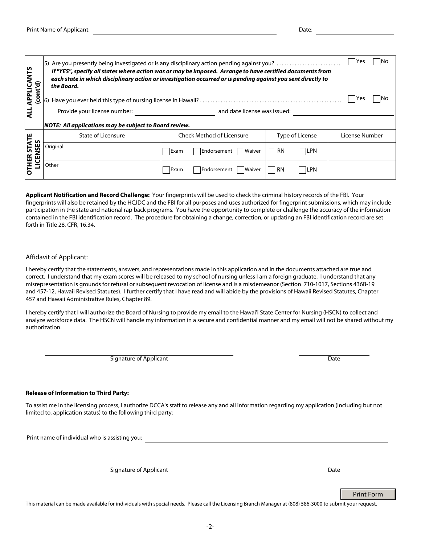-2-

Print Name of Applicant: **Date:** Date: Date: Date: Date: Date: Date: Date: Date: Date: Date: Date: Date: Date: Date: Date: Date: Date: Date: Date: Date: Date: Date: Date: Date: Date: Date: Date: Date: Date: Date: Date: Dat

| <b>ALL APPLICANTS</b><br>(cont'd)                                                                                                                                                                                                                                                                                                                                                                                                                                                                                                                                                                                         | Yes<br>lNo<br>5) Are you presently being investigated or is any disciplinary action pending against you?<br>If "YES", specify all states where action was or may be imposed. Arrange to have certified documents from<br>each state in which disciplinary action or investigation occurred or is pending against you sent directly to<br>the Board.<br>INo<br>lYes<br>and date license was issued:<br>Provide your license number: |                                      |                         |                |
|---------------------------------------------------------------------------------------------------------------------------------------------------------------------------------------------------------------------------------------------------------------------------------------------------------------------------------------------------------------------------------------------------------------------------------------------------------------------------------------------------------------------------------------------------------------------------------------------------------------------------|------------------------------------------------------------------------------------------------------------------------------------------------------------------------------------------------------------------------------------------------------------------------------------------------------------------------------------------------------------------------------------------------------------------------------------|--------------------------------------|-------------------------|----------------|
| NOTE: All applications may be subject to Board review.                                                                                                                                                                                                                                                                                                                                                                                                                                                                                                                                                                    |                                                                                                                                                                                                                                                                                                                                                                                                                                    |                                      |                         |                |
| <b>OTHER STATE</b><br>LICENSES                                                                                                                                                                                                                                                                                                                                                                                                                                                                                                                                                                                            | <b>State of Licensure</b>                                                                                                                                                                                                                                                                                                                                                                                                          | <b>Check Method of Licensure</b>     | Type of License         | License Number |
|                                                                                                                                                                                                                                                                                                                                                                                                                                                                                                                                                                                                                           | Original                                                                                                                                                                                                                                                                                                                                                                                                                           | Exam<br>Endorsement<br><b>Waiver</b> | <b>LPN</b><br><b>RN</b> |                |
|                                                                                                                                                                                                                                                                                                                                                                                                                                                                                                                                                                                                                           | Other                                                                                                                                                                                                                                                                                                                                                                                                                              | Exam<br>Waiver<br>Endorsement        | <b>RN</b><br> LPN       |                |
| Applicant Notification and Record Challenge: Your fingerprints will be used to check the criminal history records of the FBI. Your<br>fingerprints will also be retained by the HCJDC and the FBI for all purposes and uses authorized for fingerprint submissions, which may include<br>participation in the state and national rap back programs. You have the opportunity to complete or challenge the accuracy of the information<br>contained in the FBI identification record. The procedure for obtaining a change, correction, or updating an FBI identification record are set<br>forth in Title 28, CFR, 16.34. |                                                                                                                                                                                                                                                                                                                                                                                                                                    |                                      |                         |                |
|                                                                                                                                                                                                                                                                                                                                                                                                                                                                                                                                                                                                                           | Affidavit of Applicant:                                                                                                                                                                                                                                                                                                                                                                                                            |                                      |                         |                |

I hereby certify that the statements, answers, and representations made in this application and in the documents attached are true and correct. I understand that my exam scores will be released to my school of nursing unless I am a foreign graduate. I understand that any misrepresentation is grounds for refusal or subsequent revocation of license and is a misdemeanor (Section 710-1017, Sections 436B-19 and 457-12, Hawaii Revised Statutes). I further certify that I have read and will abide by the provisions of Hawaii Revised Statutes, Chapter 457 and Hawaii Administrative Rules, Chapter 89.

I hereby certify that I will authorize the Board of Nursing to provide my email to the Hawai'i State Center for Nursing (HSCN) to collect and analyze workforce data. The HSCN will handle my information in a secure and confidential manner and my email will not be shared without my authorization.

Signature of Applicant Date Date Date

#### **Release of Information to Third Party:**

To assist me in the licensing process, I authorize DCCA's staff to release any and all information regarding my application (including but not limited to, application status) to the following third party:

Print name of individual who is assisting you:

Signature of Applicant Date Date Date Date Date Date Date

Print Form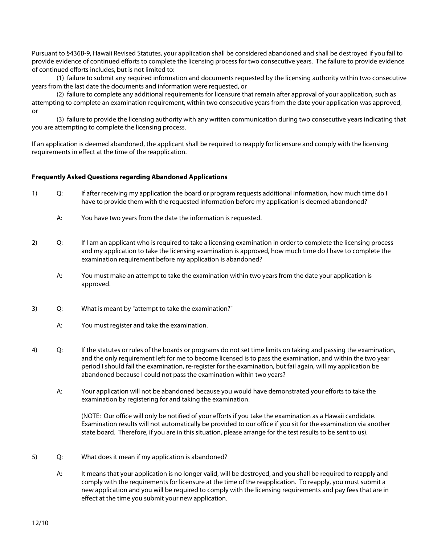Pursuant to §436B-9, Hawaii Revised Statutes, your application shall be considered abandoned and shall be destroyed if you fail to provide evidence of continued efforts to complete the licensing process for two consecutive years. The failure to provide evidence of continued efforts includes, but is not limited to:

(1) failure to submit any required information and documents requested by the licensing authority within two consecutive years from the last date the documents and information were requested, or

(2) failure to complete any additional requirements for licensure that remain after approval of your application, such as attempting to complete an examination requirement, within two consecutive years from the date your application was approved, or

(3) failure to provide the licensing authority with any written communication during two consecutive years indicating that you are attempting to complete the licensing process.

If an application is deemed abandoned, the applicant shall be required to reapply for licensure and comply with the licensing requirements in effect at the time of the reapplication.

#### **Frequently Asked Questions regarding Abandoned Applications**

- 1) Q: If after receiving my application the board or program requests additional information, how much time do I have to provide them with the requested information before my application is deemed abandoned?
	- A: You have two years from the date the information is requested.
- 2) Q: If I am an applicant who is required to take a licensing examination in order to complete the licensing process and my application to take the licensing examination is approved, how much time do I have to complete the examination requirement before my application is abandoned?
	- A: You must make an attempt to take the examination within two years from the date your application is approved.
- 3) Q: What is meant by "attempt to take the examination?"
	- A: You must register and take the examination.
- 4) Q: If the statutes or rules of the boards or programs do not set time limits on taking and passing the examination, and the only requirement left for me to become licensed is to pass the examination, and within the two year period I should fail the examination, re-register for the examination, but fail again, will my application be abandoned because I could not pass the examination within two years?
	- A: Your application will not be abandoned because you would have demonstrated your efforts to take the examination by registering for and taking the examination.

(NOTE: Our office will only be notified of your efforts if you take the examination as a Hawaii candidate. Examination results will not automatically be provided to our office if you sit for the examination via another state board. Therefore, if you are in this situation, please arrange for the test results to be sent to us).

- 5) Q: What does it mean if my application is abandoned?
	- A: It means that your application is no longer valid, will be destroyed, and you shall be required to reapply and comply with the requirements for licensure at the time of the reapplication. To reapply, you must submit a new application and you will be required to comply with the licensing requirements and pay fees that are in effect at the time you submit your new application.